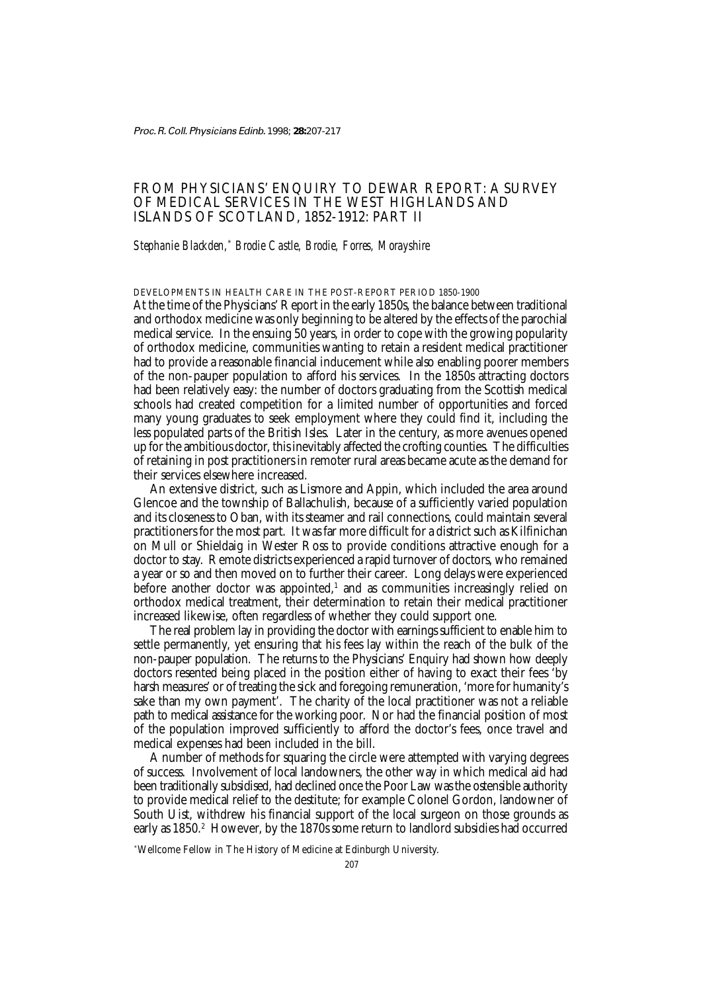Proc. R. Coll. Physicians Edinb. 1998; **28:**207-217

# FROM PHYSICIANS' ENQUIRY TO DEWAR REPORT: A SURVEY OF MEDICAL SERVICES IN THE WEST HIGHLANDS AND ISLANDS OF SCOTLAND, 1852-1912: PART II

# *Stephanie Blackden,*\*  *Brodie Castle, Brodie, Forres, Morayshire*

DEVELOPMENTS IN HEALTH CARE IN THE POST-REPORT PERIOD 1850-1900

At the time of the Physicians' Report in the early 1850s, the balance between traditional and orthodox medicine was only beginning to be altered by the effects of the parochial medical service. In the ensuing 50 years, in order to cope with the growing popularity of orthodox medicine, communities wanting to retain a resident medical practitioner had to provide a reasonable financial inducement while also enabling poorer members of the non-pauper population to afford his services. In the 1850s attracting doctors had been relatively easy: the number of doctors graduating from the Scottish medical schools had created competition for a limited number of opportunities and forced many young graduates to seek employment where they could find it, including the less populated parts of the British Isles. Later in the century, as more avenues opened up for the ambitious doctor, this inevitably affected the crofting counties. The difficulties of retaining in post practitioners in remoter rural areas became acute as the demand for their services elsewhere increased.

An extensive district, such as Lismore and Appin, which included the area around Glencoe and the township of Ballachulish, because of a sufficiently varied population and its closeness to Oban, with its steamer and rail connections, could maintain several practitioners for the most part. It was far more difficult for a district such as Kilfinichan on Mull or Shieldaig in Wester Ross to provide conditions attractive enough for a doctor to stay. Remote districts experienced a rapid turnover of doctors, who remained a year or so and then moved on to further their career. Long delays were experienced before another doctor was appointed, $^{\scriptscriptstyle 1}$  and as communities increasingly relied on orthodox medical treatment, their determination to retain their medical practitioner increased likewise, often regardless of whether they could support one.

The real problem lay in providing the doctor with earnings sufficient to enable him to settle permanently, yet ensuring that his fees lay within the reach of the bulk of the non-pauper population. The returns to the Physicians' Enquiry had shown how deeply doctors resented being placed in the position either of having to exact their fees 'by harsh measures' or of treating the sick and foregoing remuneration, 'more for humanity's sake than my own payment'. The charity of the local practitioner was not a reliable path to medical assistance for the working poor. Nor had the financial position of most of the population improved sufficiently to afford the doctor's fees, once travel and medical expenses had been included in the bill.

A number of methods for squaring the circle were attempted with varying degrees of success. Involvement of local landowners, the other way in which medical aid had been traditionally subsidised, had declined once the Poor Law was the ostensible authority to provide medical relief to the destitute; for example Colonel Gordon, landowner of South Uist, withdrew his financial support of the local surgeon on those grounds as early as 1850. $^\text{2}$   $\,$  However, by the 1870s some return to landlord subsidies had occurred

\* Wellcome Fellow in The History of Medicine at Edinburgh University.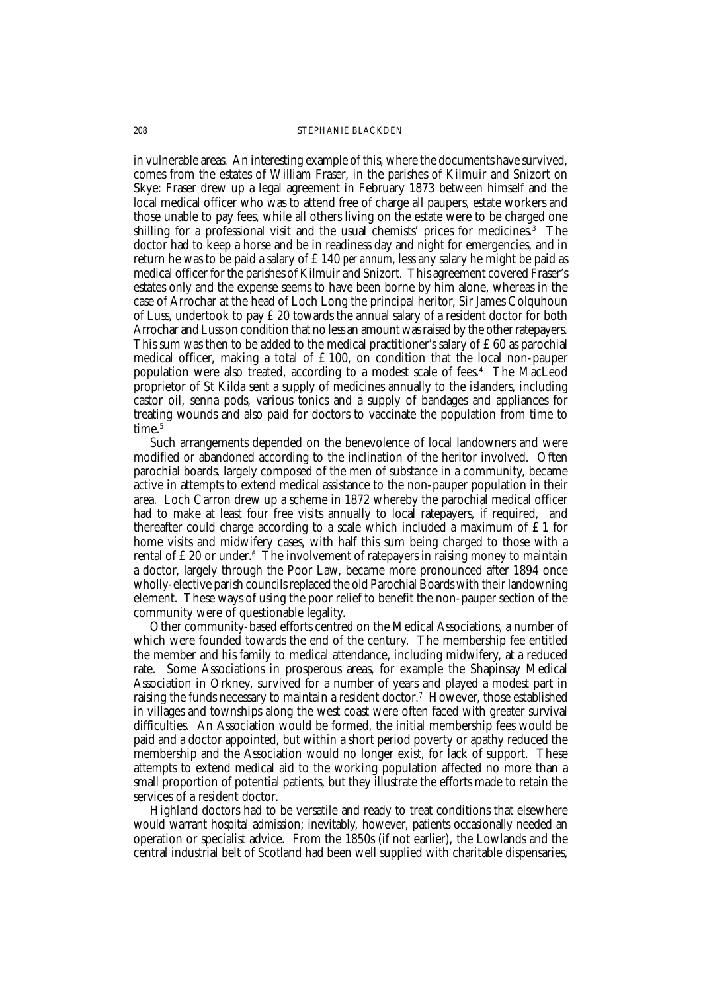in vulnerable areas. An interesting example of this, where the documents have survived, comes from the estates of William Fraser, in the parishes of Kilmuir and Snizort on Skye: Fraser drew up a legal agreement in February 1873 between himself and the local medical officer who was to attend free of charge all paupers, estate workers and those unable to pay fees, while all others living on the estate were to be charged one shilling for a professional visit and the usual chemists' prices for medicines.<sup>3</sup> The doctor had to keep a horse and be in readiness day and night for emergencies, and in return he was to be paid a salary of £140 *per annum*, less any salary he might be paid as medical officer for the parishes of Kilmuir and Snizort. This agreement covered Fraser's estates only and the expense seems to have been borne by him alone, whereas in the case of Arrochar at the head of Loch Long the principal heritor, Sir James Colquhoun of Luss, undertook to pay £20 towards the annual salary of a resident doctor for both Arrochar and Luss on condition that no less an amount was raised by the other ratepayers. This sum was then to be added to the medical practitioner's salary of £60 as parochial medical officer, making a total of £100, on condition that the local non-pauper population were also treated, according to a modest scale of fees.4 The MacLeod proprietor of St Kilda sent a supply of medicines annually to the islanders, including castor oil, senna pods, various tonics and a supply of bandages and appliances for treating wounds and also paid for doctors to vaccinate the population from time to time.<sup>5</sup>

Such arrangements depended on the benevolence of local landowners and were modified or abandoned according to the inclination of the heritor involved. Often parochial boards, largely composed of the men of substance in a community, became active in attempts to extend medical assistance to the non-pauper population in their area. Loch Carron drew up a scheme in 1872 whereby the parochial medical officer had to make at least four free visits annually to local ratepayers, if required, and thereafter could charge according to a scale which included a maximum of  $\mathfrak{L}1$  for home visits and midwifery cases, with half this sum being charged to those with a rental of £20 or under. $^{\rm 6}$  The involvement of ratepayers in raising money to maintain a doctor, largely through the Poor Law, became more pronounced after 1894 once wholly-elective parish councils replaced the old Parochial Boards with their landowning element. These ways of using the poor relief to benefit the non-pauper section of the community were of questionable legality.

Other community-based efforts centred on the Medical Associations, a number of which were founded towards the end of the century. The membership fee entitled the member and his family to medical attendance, including midwifery, at a reduced rate. Some Associations in prosperous areas, for example the Shapinsay Medical Association in Orkney, survived for a number of years and played a modest part in raising the funds necessary to maintain a resident doctor.7 However, those established in villages and townships along the west coast were often faced with greater survival difficulties. An Association would be formed, the initial membership fees would be paid and a doctor appointed, but within a short period poverty or apathy reduced the membership and the Association would no longer exist, for lack of support. These attempts to extend medical aid to the working population affected no more than a small proportion of potential patients, but they illustrate the efforts made to retain the services of a resident doctor.

Highland doctors had to be versatile and ready to treat conditions that elsewhere would warrant hospital admission; inevitably, however, patients occasionally needed an operation or specialist advice. From the 1850s (if not earlier), the Lowlands and the central industrial belt of Scotland had been well supplied with charitable dispensaries,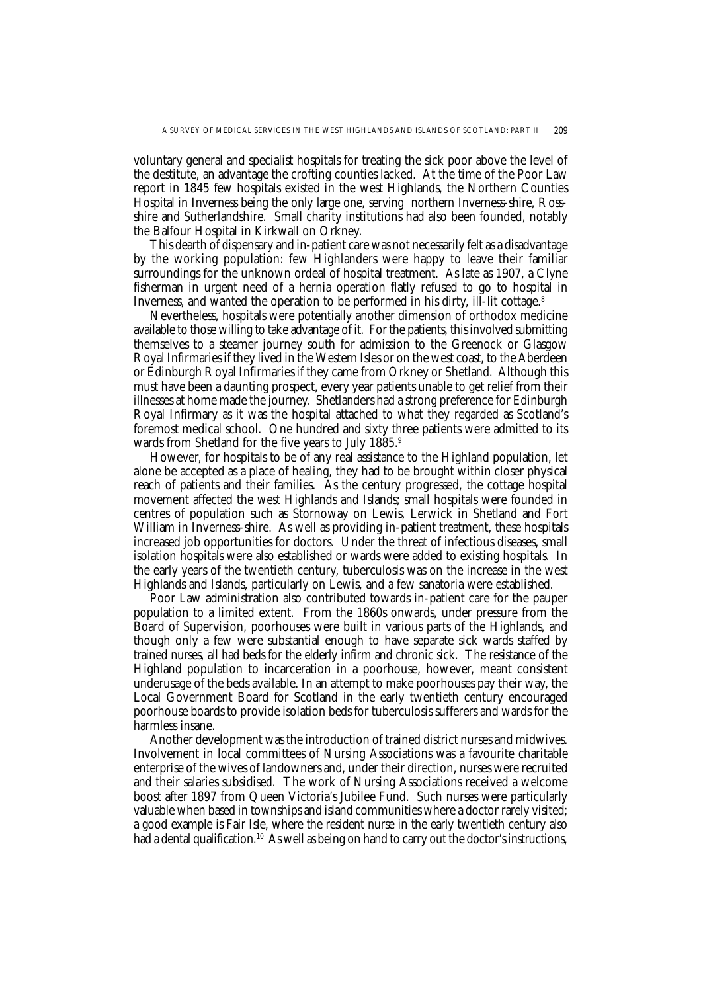voluntary general and specialist hospitals for treating the sick poor above the level of the destitute, an advantage the crofting counties lacked. At the time of the Poor Law report in 1845 few hospitals existed in the west Highlands, the Northern Counties Hospital in Inverness being the only large one, serving northern Inverness-shire, Rossshire and Sutherlandshire. Small charity institutions had also been founded, notably the Balfour Hospital in Kirkwall on Orkney.

This dearth of dispensary and in-patient care was not necessarily felt as a disadvantage by the working population: few Highlanders were happy to leave their familiar surroundings for the unknown ordeal of hospital treatment. As late as 1907, a Clyne fisherman in urgent need of a hernia operation flatly refused to go to hospital in Inverness, and wanted the operation to be performed in his dirty, ill-lit cottage.8

Nevertheless, hospitals were potentially another dimension of orthodox medicine available to those willing to take advantage of it. For the patients, this involved submitting themselves to a steamer journey south for admission to the Greenock or Glasgow Royal Infirmaries if they lived in the Western Isles or on the west coast, to the Aberdeen or Edinburgh Royal Infirmaries if they came from Orkney or Shetland. Although this must have been a daunting prospect, every year patients unable to get relief from their illnesses at home made the journey. Shetlanders had a strong preference for Edinburgh Royal Infirmary as it was the hospital attached to what they regarded as Scotland's foremost medical school. One hundred and sixty three patients were admitted to its wards from Shetland for the five years to July 1885.<sup>9</sup>

However, for hospitals to be of any real assistance to the Highland population, let alone be accepted as a place of healing, they had to be brought within closer physical reach of patients and their families. As the century progressed, the cottage hospital movement affected the west Highlands and Islands; small hospitals were founded in centres of population such as Stornoway on Lewis, Lerwick in Shetland and Fort William in Inverness-shire. As well as providing in-patient treatment, these hospitals increased job opportunities for doctors. Under the threat of infectious diseases, small isolation hospitals were also established or wards were added to existing hospitals. In the early years of the twentieth century, tuberculosis was on the increase in the west Highlands and Islands, particularly on Lewis, and a few sanatoria were established.

Poor Law administration also contributed towards in-patient care for the pauper population to a limited extent. From the 1860s onwards, under pressure from the Board of Supervision, poorhouses were built in various parts of the Highlands, and though only a few were substantial enough to have separate sick wards staffed by trained nurses, all had beds for the elderly infirm and chronic sick. The resistance of the Highland population to incarceration in a poorhouse, however, meant consistent underusage of the beds available. In an attempt to make poorhouses pay their way, the Local Government Board for Scotland in the early twentieth century encouraged poorhouse boards to provide isolation beds for tuberculosis sufferers and wards for the harmless insane.

Another development was the introduction of trained district nurses and midwives. Involvement in local committees of Nursing Associations was a favourite charitable enterprise of the wives of landowners and, under their direction, nurses were recruited and their salaries subsidised. The work of Nursing Associations received a welcome boost after 1897 from Queen Victoria's Jubilee Fund. Such nurses were particularly valuable when based in townships and island communities where a doctor rarely visited; a good example is Fair Isle, where the resident nurse in the early twentieth century also had a dental qualification.<sup>10</sup> As well as being on hand to carry out the doctor's instructions,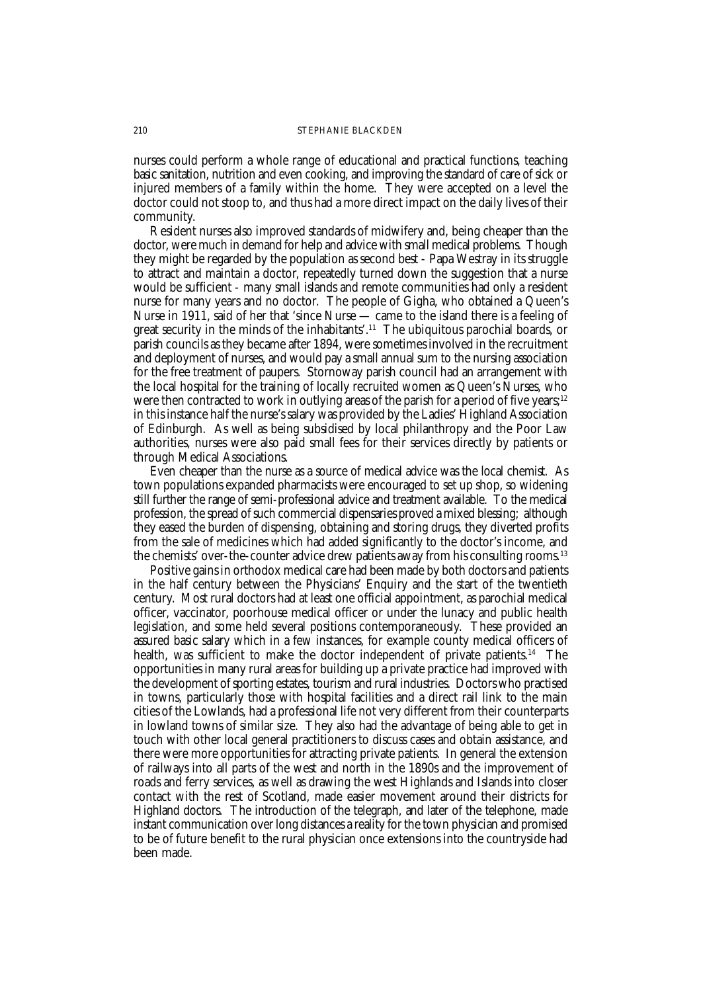nurses could perform a whole range of educational and practical functions, teaching basic sanitation, nutrition and even cooking, and improving the standard of care of sick or injured members of a family within the home. They were accepted on a level the doctor could not stoop to, and thus had a more direct impact on the daily lives of their community.

Resident nurses also improved standards of midwifery and, being cheaper than the doctor, were much in demand for help and advice with small medical problems. Though they might be regarded by the population as second best - Papa Westray in its struggle to attract and maintain a doctor, repeatedly turned down the suggestion that a nurse would be sufficient - many small islands and remote communities had only a resident nurse for many years and no doctor. The people of Gigha, who obtained a Queen's Nurse in 1911, said of her that 'since Nurse — came to the island there is a feeling of great security in the minds of the inhabitants'.11 The ubiquitous parochial boards, or parish councils as they became after 1894, were sometimes involved in the recruitment and deployment of nurses, and would pay a small annual sum to the nursing association for the free treatment of paupers. Stornoway parish council had an arrangement with the local hospital for the training of locally recruited women as Queen's Nurses, who were then contracted to work in outlying areas of the parish for a period of five years;<sup>12</sup> in this instance half the nurse's salary was provided by the Ladies' Highland Association of Edinburgh. As well as being subsidised by local philanthropy and the Poor Law authorities, nurses were also paid small fees for their services directly by patients or through Medical Associations.

Even cheaper than the nurse as a source of medical advice was the local chemist. As town populations expanded pharmacists were encouraged to set up shop, so widening still further the range of semi-professional advice and treatment available. To the medical profession, the spread of such commercial dispensaries proved a mixed blessing; although they eased the burden of dispensing, obtaining and storing drugs, they diverted profits from the sale of medicines which had added significantly to the doctor's income, and the chemists' over-the-counter advice drew patients away from his consulting rooms.13

Positive gains in orthodox medical care had been made by both doctors and patients in the half century between the Physicians' Enquiry and the start of the twentieth century. Most rural doctors had at least one official appointment, as parochial medical officer, vaccinator, poorhouse medical officer or under the lunacy and public health legislation, and some held several positions contemporaneously. These provided an assured basic salary which in a few instances, for example county medical officers of health, was sufficient to make the doctor independent of private patients.<sup>14</sup> The opportunities in many rural areas for building up a private practice had improved with the development of sporting estates, tourism and rural industries. Doctors who practised in towns, particularly those with hospital facilities and a direct rail link to the main cities of the Lowlands, had a professional life not very different from their counterparts in lowland towns of similar size. They also had the advantage of being able to get in touch with other local general practitioners to discuss cases and obtain assistance, and there were more opportunities for attracting private patients. In general the extension of railways into all parts of the west and north in the 1890s and the improvement of roads and ferry services, as well as drawing the west Highlands and Islands into closer contact with the rest of Scotland, made easier movement around their districts for Highland doctors. The introduction of the telegraph, and later of the telephone, made instant communication over long distances a reality for the town physician and promised to be of future benefit to the rural physician once extensions into the countryside had been made.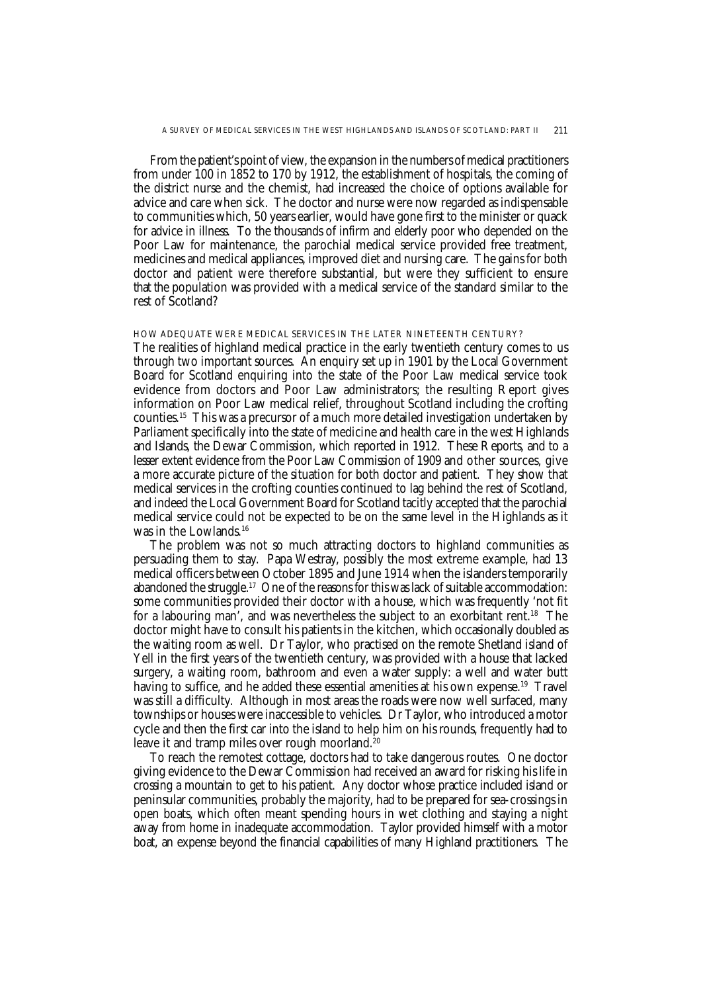From the patient's point of view, the expansion in the numbers of medical practitioners from under 100 in 1852 to 170 by 1912, the establishment of hospitals, the coming of the district nurse and the chemist, had increased the choice of options available for advice and care when sick. The doctor and nurse were now regarded as indispensable to communities which, 50 years earlier, would have gone first to the minister or quack for advice in illness. To the thousands of infirm and elderly poor who depended on the Poor Law for maintenance, the parochial medical service provided free treatment, medicines and medical appliances, improved diet and nursing care. The gains for both doctor and patient were therefore substantial, but were they sufficient to ensure that the population was provided with a medical service of the standard similar to the rest of Scotland?

HOW ADEQUATE WERE MEDICAL SERVICES IN THE LATER NINETEENTH CENTURY?

The realities of highland medical practice in the early twentieth century comes to us through two important sources. An enquiry set up in 1901 by the Local Government Board for Scotland enquiring into the state of the Poor Law medical service took evidence from doctors and Poor Law administrators; the resulting Report gives information on Poor Law medical relief, throughout Scotland including the crofting counties.15 This was a precursor of a much more detailed investigation undertaken by Parliament specifically into the state of medicine and health care in the west Highlands and Islands, the Dewar Commission, which reported in 1912. These Reports, and to a lesser extent evidence from the Poor Law Commission of 1909 and other sources, give a more accurate picture of the situation for both doctor and patient. They show that medical services in the crofting counties continued to lag behind the rest of Scotland, and indeed the Local Government Board for Scotland tacitly accepted that the parochial medical service could not be expected to be on the same level in the Highlands as it was in the Lowlands.<sup>16</sup>

The problem was not so much attracting doctors to highland communities as persuading them to stay. Papa Westray, possibly the most extreme example, had 13 medical officers between October 1895 and June 1914 when the islanders temporarily abandoned the struggle.17 One of the reasons for this was lack of suitable accommodation: some communities provided their doctor with a house, which was frequently 'not fit for a labouring man', and was nevertheless the subject to an exorbitant rent.<sup>18</sup> The doctor might have to consult his patients in the kitchen, which occasionally doubled as the waiting room as well. Dr Taylor, who practised on the remote Shetland island of Yell in the first years of the twentieth century, was provided with a house that lacked surgery, a waiting room, bathroom and even a water supply: a well and water butt having to suffice, and he added these essential amenities at his own expense.<sup>19</sup> Travel was still a difficulty. Although in most areas the roads were now well surfaced, many townships or houses were inaccessible to vehicles. Dr Taylor, who introduced a motor cycle and then the first car into the island to help him on his rounds, frequently had to leave it and tramp miles over rough moorland.<sup>20</sup>

To reach the remotest cottage, doctors had to take dangerous routes. One doctor giving evidence to the Dewar Commission had received an award for risking his life in crossing a mountain to get to his patient. Any doctor whose practice included island or peninsular communities, probably the majority, had to be prepared for sea-crossings in open boats, which often meant spending hours in wet clothing and staying a night away from home in inadequate accommodation. Taylor provided himself with a motor boat, an expense beyond the financial capabilities of many Highland practitioners. The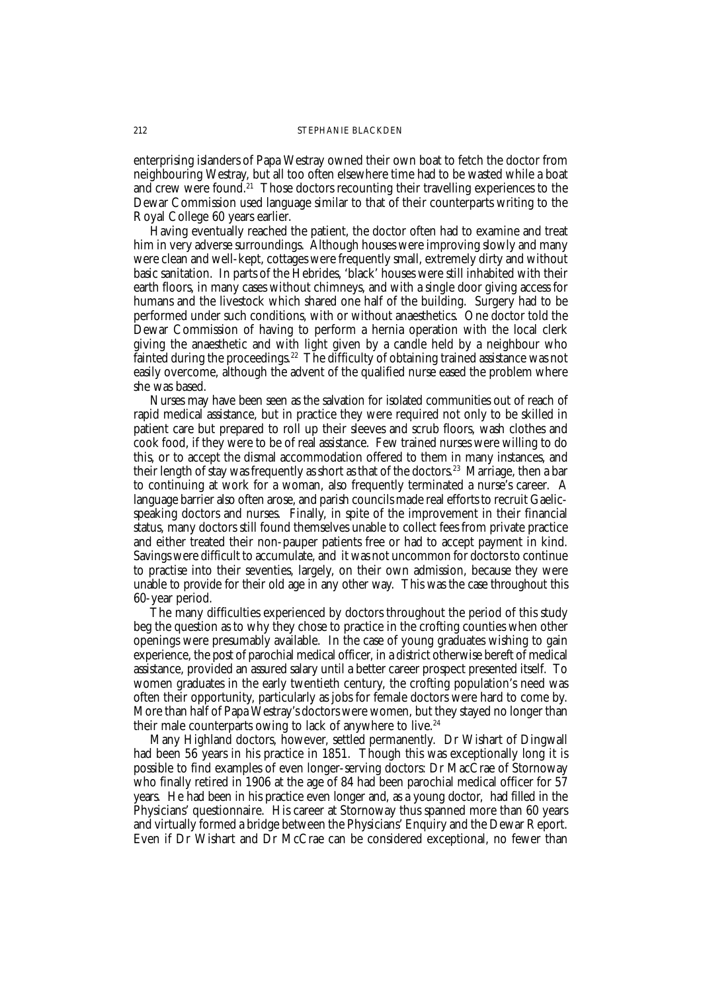enterprising islanders of Papa Westray owned their own boat to fetch the doctor from neighbouring Westray, but all too often elsewhere time had to be wasted while a boat and crew were found.<sup>21</sup> Those doctors recounting their travelling experiences to the Dewar Commission used language similar to that of their counterparts writing to the Royal College 60 years earlier.

Having eventually reached the patient, the doctor often had to examine and treat him in very adverse surroundings. Although houses were improving slowly and many were clean and well-kept, cottages were frequently small, extremely dirty and without basic sanitation. In parts of the Hebrides, 'black' houses were still inhabited with their earth floors, in many cases without chimneys, and with a single door giving access for humans and the livestock which shared one half of the building. Surgery had to be performed under such conditions, with or without anaesthetics. One doctor told the Dewar Commission of having to perform a hernia operation with the local clerk giving the anaesthetic and with light given by a candle held by a neighbour who fainted during the proceedings.<sup>22</sup> The difficulty of obtaining trained assistance was not easily overcome, although the advent of the qualified nurse eased the problem where she was based.

Nurses may have been seen as the salvation for isolated communities out of reach of rapid medical assistance, but in practice they were required not only to be skilled in patient care but prepared to roll up their sleeves and scrub floors, wash clothes and cook food, if they were to be of real assistance. Few trained nurses were willing to do this, or to accept the dismal accommodation offered to them in many instances, and their length of stay was frequently as short as that of the doctors.<sup>23</sup> Marriage, then a bar to continuing at work for a woman, also frequently terminated a nurse's career. A language barrier also often arose, and parish councils made real efforts to recruit Gaelicspeaking doctors and nurses. Finally, in spite of the improvement in their financial status, many doctors still found themselves unable to collect fees from private practice and either treated their non-pauper patients free or had to accept payment in kind. Savings were difficult to accumulate, and it was not uncommon for doctors to continue to practise into their seventies, largely, on their own admission, because they were unable to provide for their old age in any other way. This was the case throughout this 60-year period.

The many difficulties experienced by doctors throughout the period of this study beg the question as to why they chose to practice in the crofting counties when other openings were presumably available. In the case of young graduates wishing to gain experience, the post of parochial medical officer, in a district otherwise bereft of medical assistance, provided an assured salary until a better career prospect presented itself. To women graduates in the early twentieth century, the crofting population's need was often their opportunity, particularly as jobs for female doctors were hard to come by. More than half of Papa Westray's doctors were women, but they stayed no longer than their male counterparts owing to lack of anywhere to live.<sup>24</sup>

Many Highland doctors, however, settled permanently. Dr Wishart of Dingwall had been 56 years in his practice in 1851. Though this was exceptionally long it is possible to find examples of even longer-serving doctors: Dr MacCrae of Stornoway who finally retired in 1906 at the age of 84 had been parochial medical officer for 57 years. He had been in his practice even longer and, as a young doctor, had filled in the Physicians' questionnaire. His career at Stornoway thus spanned more than 60 years and virtually formed a bridge between the Physicians' Enquiry and the Dewar Report. Even if Dr Wishart and Dr McCrae can be considered exceptional, no fewer than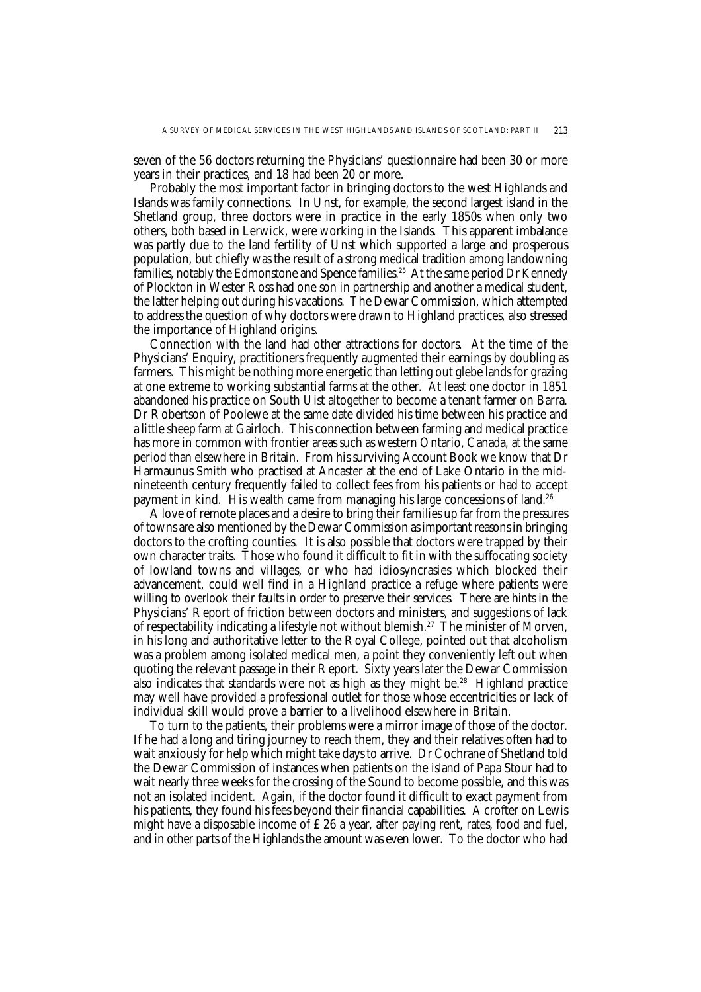seven of the 56 doctors returning the Physicians' questionnaire had been 30 or more years in their practices, and 18 had been 20 or more.

Probably the most important factor in bringing doctors to the west Highlands and Islands was family connections. In Unst, for example, the second largest island in the Shetland group, three doctors were in practice in the early 1850s when only two others, both based in Lerwick, were working in the Islands. This apparent imbalance was partly due to the land fertility of Unst which supported a large and prosperous population, but chiefly was the result of a strong medical tradition among landowning families, notably the Edmonstone and Spence families.<sup>25</sup> At the same period Dr Kennedy of Plockton in Wester Ross had one son in partnership and another a medical student, the latter helping out during his vacations. The Dewar Commission, which attempted to address the question of why doctors were drawn to Highland practices, also stressed the importance of Highland origins.

Connection with the land had other attractions for doctors. At the time of the Physicians' Enquiry, practitioners frequently augmented their earnings by doubling as farmers. This might be nothing more energetic than letting out glebe lands for grazing at one extreme to working substantial farms at the other. At least one doctor in 1851 abandoned his practice on South Uist altogether to become a tenant farmer on Barra. Dr Robertson of Poolewe at the same date divided his time between his practice and a little sheep farm at Gairloch. This connection between farming and medical practice has more in common with frontier areas such as western Ontario, Canada, at the same period than elsewhere in Britain. From his surviving Account Book we know that Dr Harmaunus Smith who practised at Ancaster at the end of Lake Ontario in the midnineteenth century frequently failed to collect fees from his patients or had to accept payment in kind. His wealth came from managing his large concessions of land.26

A love of remote places and a desire to bring their families up far from the pressures of towns are also mentioned by the Dewar Commission as important reasons in bringing doctors to the crofting counties. It is also possible that doctors were trapped by their own character traits. Those who found it difficult to fit in with the suffocating society of lowland towns and villages, or who had idiosyncrasies which blocked their advancement, could well find in a Highland practice a refuge where patients were willing to overlook their faults in order to preserve their services. There are hints in the Physicians' Report of friction between doctors and ministers, and suggestions of lack of respectability indicating a lifestyle not without blemish.27 The minister of Morven, in his long and authoritative letter to the Royal College, pointed out that alcoholism was a problem among isolated medical men, a point they conveniently left out when quoting the relevant passage in their Report. Sixty years later the Dewar Commission also indicates that standards were not as high as they might be.<sup>28</sup> Highland practice may well have provided a professional outlet for those whose eccentricities or lack of individual skill would prove a barrier to a livelihood elsewhere in Britain.

To turn to the patients, their problems were a mirror image of those of the doctor. If he had a long and tiring journey to reach them, they and their relatives often had to wait anxiously for help which might take days to arrive. Dr Cochrane of Shetland told the Dewar Commission of instances when patients on the island of Papa Stour had to wait nearly three weeks for the crossing of the Sound to become possible, and this was not an isolated incident. Again, if the doctor found it difficult to exact payment from his patients, they found his fees beyond their financial capabilities. A crofter on Lewis might have a disposable income of  $\pounds 26$  a year, after paying rent, rates, food and fuel, and in other parts of the Highlands the amount was even lower. To the doctor who had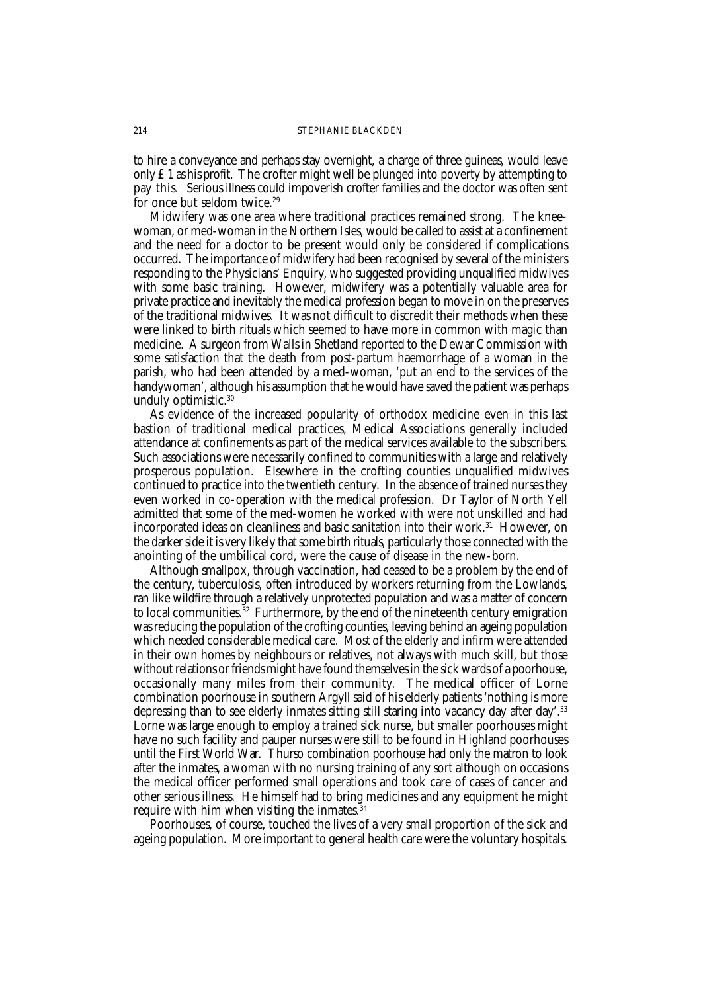to hire a conveyance and perhaps stay overnight, a charge of three guineas, would leave only  $\pounds$  1 as his profit. The crofter might well be plunged into poverty by attempting to pay this. Serious illness could impoverish crofter families and the doctor was often sent for once but seldom twice.<sup>29</sup>

Midwifery was one area where traditional practices remained strong. The kneewoman, or med-woman in the Northern Isles, would be called to assist at a confinement and the need for a doctor to be present would only be considered if complications occurred. The importance of midwifery had been recognised by several of the ministers responding to the Physicians' Enquiry, who suggested providing unqualified midwives with some basic training. However, midwifery was a potentially valuable area for private practice and inevitably the medical profession began to move in on the preserves of the traditional midwives. It was not difficult to discredit their methods when these were linked to birth rituals which seemed to have more in common with magic than medicine. A surgeon from Walls in Shetland reported to the Dewar Commission with some satisfaction that the death from post-partum haemorrhage of a woman in the parish, who had been attended by a med-woman, 'put an end to the services of the handywoman', although his assumption that he would have saved the patient was perhaps unduly optimistic.30

As evidence of the increased popularity of orthodox medicine even in this last bastion of traditional medical practices, Medical Associations generally included attendance at confinements as part of the medical services available to the subscribers. Such associations were necessarily confined to communities with a large and relatively prosperous population. Elsewhere in the crofting counties unqualified midwives continued to practice into the twentieth century. In the absence of trained nurses they even worked in co-operation with the medical profession. Dr Taylor of North Yell admitted that some of the med-women he worked with were not unskilled and had incorporated ideas on cleanliness and basic sanitation into their work.31 However, on the darker side it is very likely that some birth rituals, particularly those connected with the anointing of the umbilical cord, were the cause of disease in the new-born.

Although smallpox, through vaccination, had ceased to be a problem by the end of the century, tuberculosis, often introduced by workers returning from the Lowlands, ran like wildfire through a relatively unprotected population and was a matter of concern to local communities.<sup>32</sup> Furthermore, by the end of the nineteenth century emigration was reducing the population of the crofting counties, leaving behind an ageing population which needed considerable medical care. Most of the elderly and infirm were attended in their own homes by neighbours or relatives, not always with much skill, but those without relations or friends might have found themselves in the sick wards of a poorhouse, occasionally many miles from their community. The medical officer of Lorne combination poorhouse in southern Argyll said of his elderly patients 'nothing is more depressing than to see elderly inmates sitting still staring into vacancy day after day'.33 Lorne was large enough to employ a trained sick nurse, but smaller poorhouses might have no such facility and pauper nurses were still to be found in Highland poorhouses until the First World War. Thurso combination poorhouse had only the matron to look after the inmates, a woman with no nursing training of any sort although on occasions the medical officer performed small operations and took care of cases of cancer and other serious illness. He himself had to bring medicines and any equipment he might require with him when visiting the inmates.<sup>34</sup>

Poorhouses, of course, touched the lives of a very small proportion of the sick and ageing population. More important to general health care were the voluntary hospitals.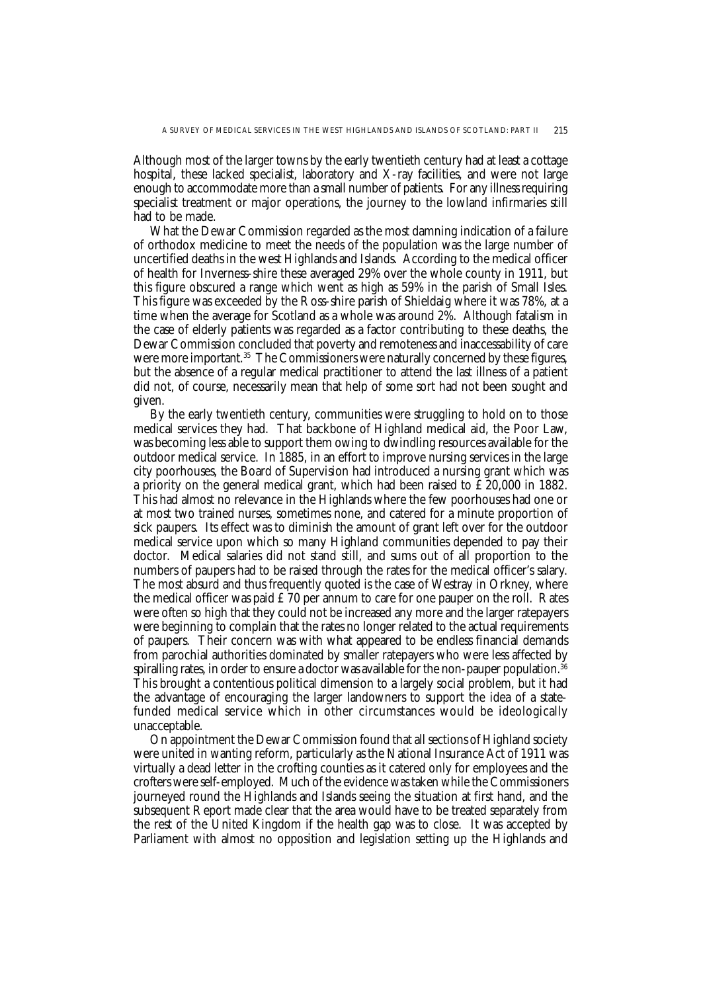Although most of the larger towns by the early twentieth century had at least a cottage hospital, these lacked specialist, laboratory and X-ray facilities, and were not large enough to accommodate more than a small number of patients. For any illness requiring specialist treatment or major operations, the journey to the lowland infirmaries still had to be made.

What the Dewar Commission regarded as the most damning indication of a failure of orthodox medicine to meet the needs of the population was the large number of uncertified deaths in the west Highlands and Islands. According to the medical officer of health for Inverness-shire these averaged 29% over the whole county in 1911, but this figure obscured a range which went as high as 59% in the parish of Small Isles. This figure was exceeded by the Ross-shire parish of Shieldaig where it was 78%, at a time when the average for Scotland as a whole was around 2%. Although fatalism in the case of elderly patients was regarded as a factor contributing to these deaths, the Dewar Commission concluded that poverty and remoteness and inaccessability of care were more important.<sup>35</sup> The Commissioners were naturally concerned by these figures, but the absence of a regular medical practitioner to attend the last illness of a patient did not, of course, necessarily mean that help of some sort had not been sought and given.

By the early twentieth century, communities were struggling to hold on to those medical services they had. That backbone of Highland medical aid, the Poor Law, was becoming less able to support them owing to dwindling resources available for the outdoor medical service. In 1885, in an effort to improve nursing services in the large city poorhouses, the Board of Supervision had introduced a nursing grant which was a priority on the general medical grant, which had been raised to £20,000 in 1882. This had almost no relevance in the Highlands where the few poorhouses had one or at most two trained nurses, sometimes none, and catered for a minute proportion of sick paupers. Its effect was to diminish the amount of grant left over for the outdoor medical service upon which so many Highland communities depended to pay their doctor. Medical salaries did not stand still, and sums out of all proportion to the numbers of paupers had to be raised through the rates for the medical officer's salary. The most absurd and thus frequently quoted is the case of Westray in Orkney, where the medical officer was paid  $£70$  per annum to care for one pauper on the roll. Rates were often so high that they could not be increased any more and the larger ratepayers were beginning to complain that the rates no longer related to the actual requirements of paupers. Their concern was with what appeared to be endless financial demands from parochial authorities dominated by smaller ratepayers who were less affected by spiralling rates, in order to ensure a doctor was available for the non-pauper population.<sup>36</sup> This brought a contentious political dimension to a largely social problem, but it had the advantage of encouraging the larger landowners to support the idea of a statefunded medical service which in other circumstances would be ideologically unacceptable.

On appointment the Dewar Commission found that all sections of Highland society were united in wanting reform, particularly as the National Insurance Act of 1911 was virtually a dead letter in the crofting counties as it catered only for employees and the crofters were self-employed. Much of the evidence was taken while the Commissioners journeyed round the Highlands and Islands seeing the situation at first hand, and the subsequent Report made clear that the area would have to be treated separately from the rest of the United Kingdom if the health gap was to close. It was accepted by Parliament with almost no opposition and legislation setting up the Highlands and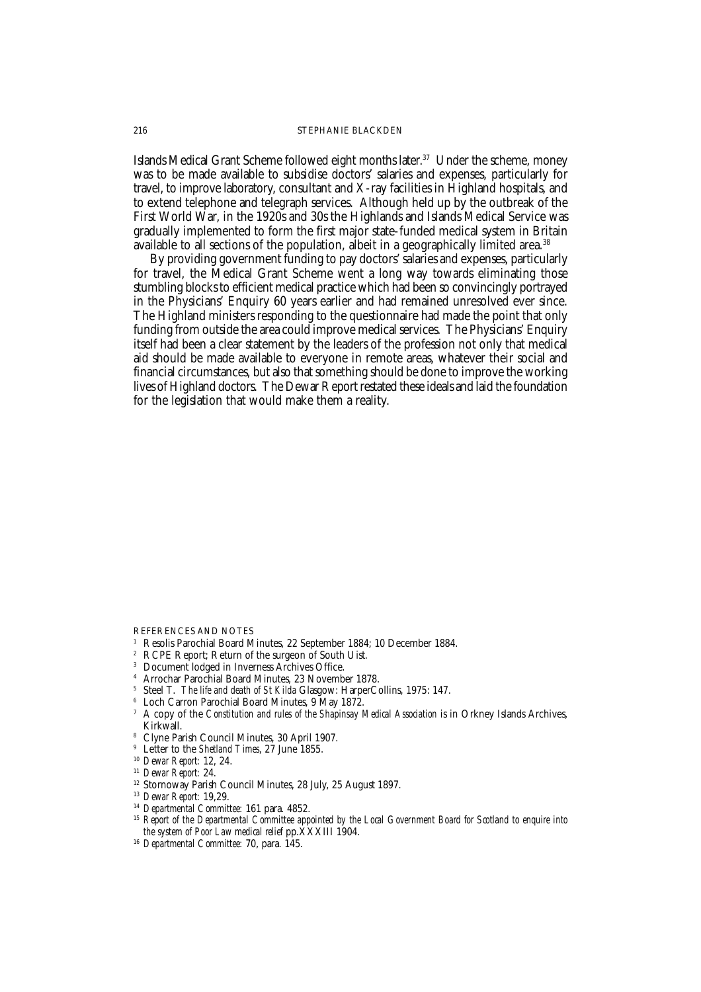Islands Medical Grant Scheme followed eight months later.<sup>37</sup> Under the scheme, money was to be made available to subsidise doctors' salaries and expenses, particularly for travel, to improve laboratory, consultant and X-ray facilities in Highland hospitals, and to extend telephone and telegraph services. Although held up by the outbreak of the First World War, in the 1920s and 30s the Highlands and Islands Medical Service was gradually implemented to form the first major state-funded medical system in Britain available to all sections of the population, albeit in a geographically limited area.<sup>38</sup>

By providing government funding to pay doctors' salaries and expenses, particularly for travel, the Medical Grant Scheme went a long way towards eliminating those stumbling blocks to efficient medical practice which had been so convincingly portrayed in the Physicians' Enquiry 60 years earlier and had remained unresolved ever since. The Highland ministers responding to the questionnaire had made the point that only funding from outside the area could improve medical services. The Physicians' Enquiry itself had been a clear statement by the leaders of the profession not only that medical aid should be made available to everyone in remote areas, whatever their social and financial circumstances, but also that something should be done to improve the working lives of Highland doctors. The Dewar Report restated these ideals and laid the foundation for the legislation that would make them a reality.

REFERENCES AND NOTES

- <sup>1</sup> Resolis Parochial Board Minutes, 22 September 1884; 10 December 1884.<br><sup>2</sup> PCPE Pepert: Peturn of the surgeon of South Llist.
- RCPE Report; Return of the surgeon of South Uist.
- <sup>3</sup> Document lodged in Inverness Archives Office.
- <sup>4</sup> Arrochar Parochial Board Minutes, 23 November 1878.
- <sup>5</sup> Steel T. *The life and death of St Kilda* Glasgow: HarperCollins, 1975: 147.
- <sup>6</sup> Loch Carron Parochial Board Minutes, 9 May 1872.
- <sup>7</sup> A copy of the *Constitution and rules of the Shapinsay Medical Association* is in Orkney Islands Archives, Kirkwall.
- <sup>8</sup> Clyne Parish Council Minutes, 30 April 1907.
- <sup>9</sup> Letter to the *Shetland Times*, 27 June 1855.
- <sup>10</sup> *Dewar Report:* 12, 24.
- <sup>11</sup> *Dewar Report:* 24.
- <sup>12</sup> Stornoway Parish Council Minutes, 28 July, 25 August 1897.
- <sup>13</sup> *Dewar Report:* 19,29.
- <sup>14</sup> *Departmental Committee:* 161 para. 4852.
- <sup>15</sup> Report of the Departmental Committee appointed by the Local Government Board for Scotland to enquire into *the system of Poor Law medical relief* pp.XXXIII 1904.
- <sup>16</sup> *Departmental Committee:* 70, para. 145.